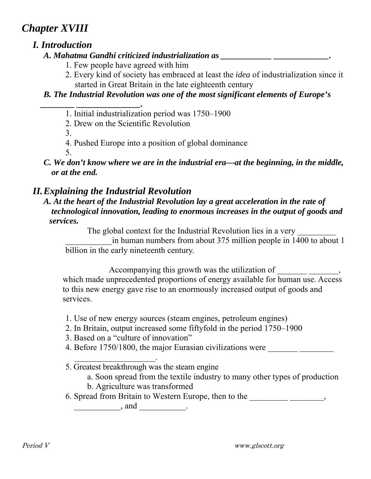# *Chapter XVIII*

# *I. Introduction*

#### *A. Mahatma Gandhi criticized industrialization as \_\_\_\_\_\_\_\_\_\_\_\_ \_\_\_\_\_\_\_\_\_\_\_\_\_.*

- 1. Few people have agreed with him
- 2. Every kind of society has embraced at least the *idea* of industrialization since it started in Great Britain in the late eighteenth century

### *B. The Industrial Revolution was one of the most significant elements of Europe's*

- *\_\_\_\_\_\_\_\_ \_\_\_\_\_\_\_\_\_\_\_\_\_\_\_.*  1. Initial industrialization period was 1750–1900
	- 2. Drew on the Scientific Revolution

3.

- 4. Pushed Europe into a position of global dominance
- 5.
- *C. We don't know where we are in the industrial era—at the beginning, in the middle, or at the end.*

# *II. Explaining the Industrial Revolution*

 *A. At the heart of the Industrial Revolution lay a great acceleration in the rate of technological innovation, leading to enormous increases in the output of goods and services.* 

The global context for the Industrial Revolution lies in a very

in human numbers from about 375 million people in 1400 to about 1 billion in the early nineteenth century.

Accompanying this growth was the utilization of \_\_\_\_\_\_\_\_\_\_\_\_\_\_\_\_,

which made unprecedented proportions of energy available for human use. Access to this new energy gave rise to an enormously increased output of goods and services.

- 1. Use of new energy sources (steam engines, petroleum engines)
- 2. In Britain, output increased some fiftyfold in the period 1750–1900
- 3. Based on a "culture of innovation"

 $\mathcal{L}_\text{max}$  and  $\mathcal{L}_\text{max}$  and  $\mathcal{L}_\text{max}$  and  $\mathcal{L}_\text{max}$ 

- 4. Before 1750/1800, the major Eurasian civilizations were \_\_\_\_\_\_\_\_\_\_\_\_\_\_\_\_\_\_\_\_\_\_
- 5. Greatest breakthrough was the steam engine
	- a. Soon spread from the textile industry to many other types of production
	- b. Agriculture was transformed
- 6. Spread from Britain to Western Europe, then to the \_\_\_\_\_\_\_\_\_\_\_\_\_\_\_\_\_\_\_,

 $\frac{1}{\sqrt{2\pi}}$  and  $\frac{1}{\sqrt{2\pi}}$ .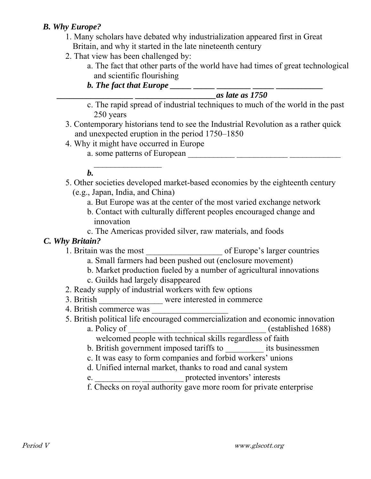#### *B. Why Europe?*

- 1. Many scholars have debated why industrialization appeared first in Great Britain, and why it started in the late nineteenth century
- 2. That view has been challenged by:
	- a. The fact that other parts of the world have had times of great technological and scientific flourishing
	- *b. The fact that Europe* \_\_\_\_\_ \_\_\_\_

#### *\_\_\_\_\_\_\_\_\_\_\_\_\_\_\_\_\_\_ \_\_\_\_\_\_\_\_\_\_\_\_\_\_\_\_\_\_\_as late as 1750*

- c. The rapid spread of industrial techniques to much of the world in the past 250 years
- 3. Contemporary historians tend to see the Industrial Revolution as a rather quick and unexpected eruption in the period 1750–1850
- 4. Why it might have occurred in Europe
	- a. some patterns of European  $\frac{1}{\sqrt{1-\frac{1}{2}}\sqrt{1-\frac{1}{2}}\sqrt{1-\frac{1}{2}}\sqrt{1-\frac{1}{2}}\sqrt{1-\frac{1}{2}}\sqrt{1-\frac{1}{2}}\sqrt{1-\frac{1}{2}}\sqrt{1-\frac{1}{2}}\sqrt{1-\frac{1}{2}}\sqrt{1-\frac{1}{2}}\sqrt{1-\frac{1}{2}}\sqrt{1-\frac{1}{2}}\sqrt{1-\frac{1}{2}}\sqrt{1-\frac{1}{2}}\sqrt{1-\frac{1}{2}}\sqrt{1-\frac{1}{2}}\sqrt{1-\frac{1}{2$

#### *b.*

- 5. Other societies developed market-based economies by the eighteenth century (e.g., Japan, India, and China)
	- a. But Europe was at the center of the most varied exchange network
	- b. Contact with culturally different peoples encouraged change and innovation
	- c. The Americas provided silver, raw materials, and foods

### *C. Why Britain?*

- 1. Britain was the most \_\_\_\_\_\_\_\_\_\_\_\_\_\_\_\_\_\_ of Europe's larger countries
	- a. Small farmers had been pushed out (enclosure movement)
	- b. Market production fueled by a number of agricultural innovations
	- c. Guilds had largely disappeared
- 2. Ready supply of industrial workers with few options
- 3. British were interested in commerce
- 4. British commerce was
- 5. British political life encouraged commercialization and economic innovation
	- a. Policy of  $\qquad \qquad$  (established 1688) welcomed people with technical skills regardless of faith
		- b. British government imposed tariffs to its businessmen
		- c. It was easy to form companies and forbid workers' unions
	- d. Unified internal market, thanks to road and canal system
	- protected inventors' interests
	- f. Checks on royal authority gave more room for private enterprise